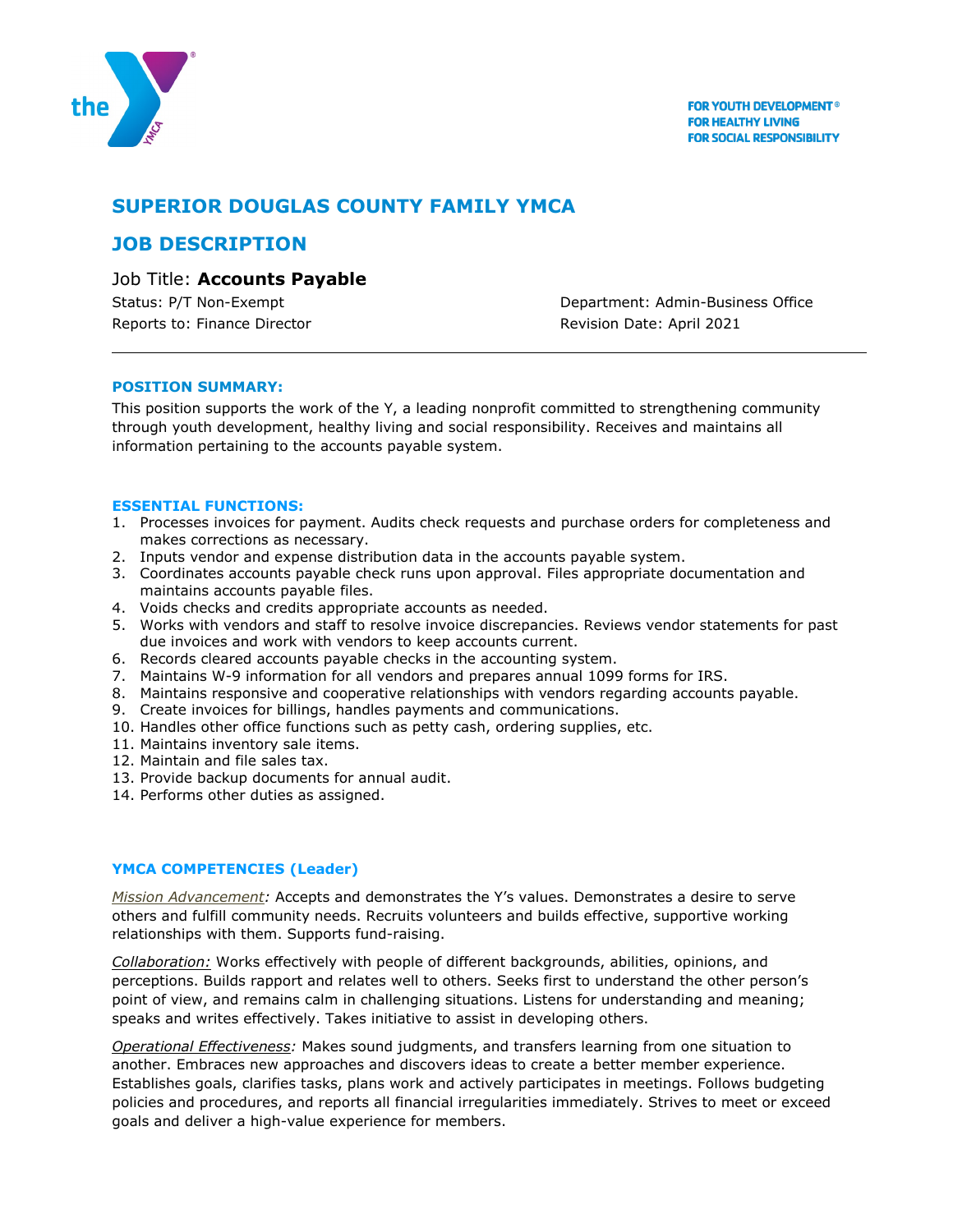

# **SUPERIOR DOUGLAS COUNTY FAMILY YMCA**

## **JOB DESCRIPTION**

### Job Title: **Accounts Payable**

Reports to: Finance Director **Revision Date: April 2021** 

Status: P/T Non-Exempt **Department: Admin-Business Office** 

#### **POSITION SUMMARY:**

This position supports the work of the Y, a leading nonprofit committed to strengthening community through youth development, healthy living and social responsibility. Receives and maintains all information pertaining to the accounts payable system.

#### **ESSENTIAL FUNCTIONS:**

- 1. Processes invoices for payment. Audits check requests and purchase orders for completeness and makes corrections as necessary.
- 2. Inputs vendor and expense distribution data in the accounts payable system.
- 3. Coordinates accounts payable check runs upon approval. Files appropriate documentation and maintains accounts payable files.
- 4. Voids checks and credits appropriate accounts as needed.
- 5. Works with vendors and staff to resolve invoice discrepancies. Reviews vendor statements for past due invoices and work with vendors to keep accounts current.
- 6. Records cleared accounts payable checks in the accounting system.
- 7. Maintains W-9 information for all vendors and prepares annual 1099 forms for IRS.
- 8. Maintains responsive and cooperative relationships with vendors regarding accounts payable.
- 9. Create invoices for billings, handles payments and communications.
- 10. Handles other office functions such as petty cash, ordering supplies, etc.
- 11. Maintains inventory sale items.
- 12. Maintain and file sales tax.
- 13. Provide backup documents for annual audit.
- 14. Performs other duties as assigned.

#### **YMCA COMPETENCIES (Leader)**

*Mission Advancement:* Accepts and demonstrates the Y's values. Demonstrates a desire to serve others and fulfill community needs. Recruits volunteers and builds effective, supportive working relationships with them. Supports fund-raising.

*Collaboration:* Works effectively with people of different backgrounds, abilities, opinions, and perceptions. Builds rapport and relates well to others. Seeks first to understand the other person's point of view, and remains calm in challenging situations. Listens for understanding and meaning; speaks and writes effectively. Takes initiative to assist in developing others.

*Operational Effectiveness:* Makes sound judgments, and transfers learning from one situation to another. Embraces new approaches and discovers ideas to create a better member experience. Establishes goals, clarifies tasks, plans work and actively participates in meetings. Follows budgeting policies and procedures, and reports all financial irregularities immediately. Strives to meet or exceed goals and deliver a high-value experience for members.